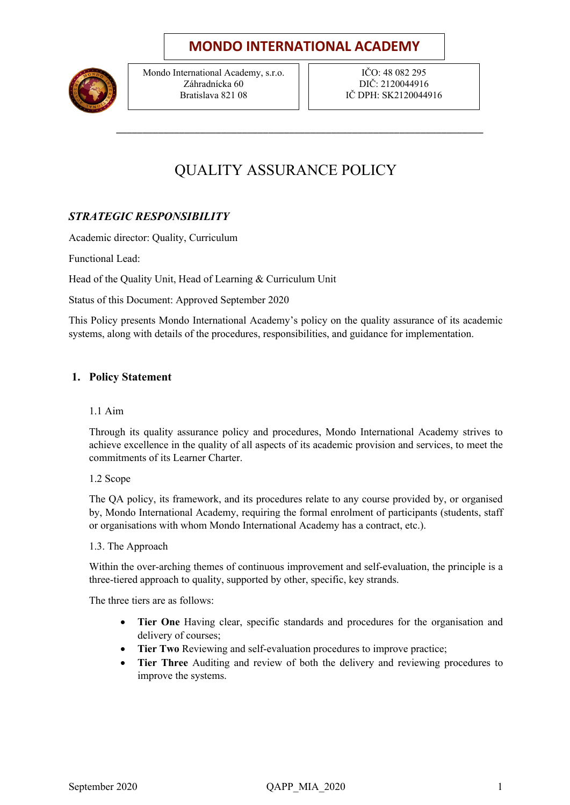## **MONDO INTERNATIONAL ACADEMY**



Mondo International Academy, s.r.o. Záhradnícka 60 Bratislava 821 08

IČO: 48 082 295 DIČ: 2120044916 IČ DPH: SK2120044916

# QUALITY ASSURANCE POLICY

\_\_\_\_\_\_\_\_\_\_\_\_\_\_\_\_\_\_\_\_\_\_\_\_\_\_\_\_\_\_\_\_\_\_\_\_\_\_\_\_\_\_\_\_\_\_\_\_\_\_\_\_\_\_\_\_\_\_\_\_\_\_\_\_\_\_\_\_\_\_

### *STRATEGIC RESPONSIBILITY*

Academic director: Quality, Curriculum

Functional Lead:

Head of the Quality Unit, Head of Learning & Curriculum Unit

Status of this Document: Approved September 2020

This Policy presents Mondo International Academy's policy on the quality assurance of its academic systems, along with details of the procedures, responsibilities, and guidance for implementation.

#### **1. Policy Statement**

1.1 Aim

Through its quality assurance policy and procedures, Mondo International Academy strives to achieve excellence in the quality of all aspects of its academic provision and services, to meet the commitments of its Learner Charter.

1.2 Scope

The QA policy, its framework, and its procedures relate to any course provided by, or organised by, Mondo International Academy, requiring the formal enrolment of participants (students, staff or organisations with whom Mondo International Academy has a contract, etc.).

1.3. The Approach

Within the over-arching themes of continuous improvement and self-evaluation, the principle is a three-tiered approach to quality, supported by other, specific, key strands.

The three tiers are as follows:

- **Tier One** Having clear, specific standards and procedures for the organisation and delivery of courses;
- **Tier Two** Reviewing and self-evaluation procedures to improve practice;
- **Tier Three** Auditing and review of both the delivery and reviewing procedures to improve the systems.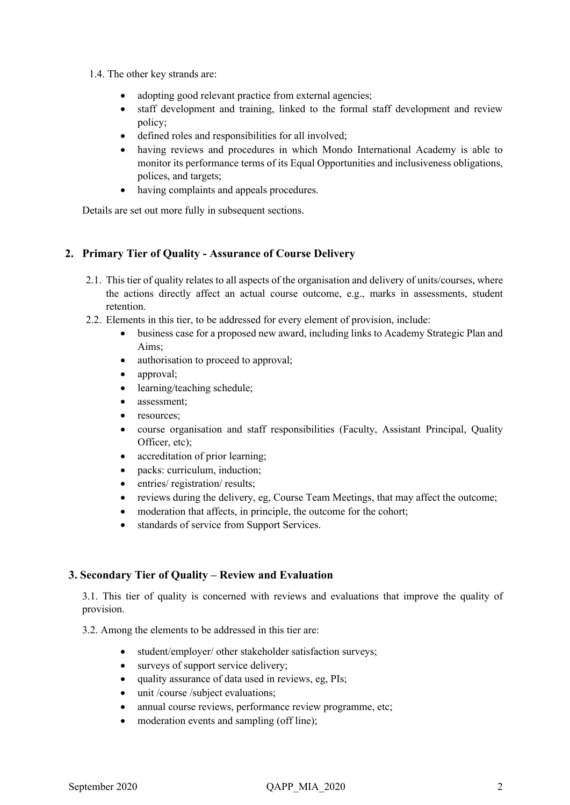- 1.4. The other key strands are:
	- adopting good relevant practice from external agencies;
	- staff development and training, linked to the formal staff development and review policy;
	- defined roles and responsibilities for all involved;
	- having reviews and procedures in which Mondo International Academy is able to monitor its performance terms of its Equal Opportunities and inclusiveness obligations, polices, and targets;
	- having complaints and appeals procedures.

Details are set out more fully in subsequent sections.

#### **2. Primary Tier of Quality - Assurance of Course Delivery**

- 2.1. This tier of quality relates to all aspects of the organisation and delivery of units/courses, where the actions directly affect an actual course outcome, e.g., marks in assessments, student retention.
- 2.2. Elements in this tier, to be addressed for every element of provision, include:
	- business case for a proposed new award, including links to Academy Strategic Plan and Aims;
	- authorisation to proceed to approval;
	- approval;
	- learning/teaching schedule;
	- assessment;
	- resources:
	- course organisation and staff responsibilities (Faculty, Assistant Principal, Quality Officer, etc);
	- accreditation of prior learning;
	- packs: curriculum, induction;
	- entries/ registration/ results;
	- reviews during the delivery, eg, Course Team Meetings, that may affect the outcome;
	- moderation that affects, in principle, the outcome for the cohort;
	- standards of service from Support Services.

#### **3. Secondary Tier of Quality – Review and Evaluation**

3.1. This tier of quality is concerned with reviews and evaluations that improve the quality of provision.

3.2. Among the elements to be addressed in this tier are:

- student/employer/ other stakeholder satisfaction surveys;
- surveys of support service delivery;
- quality assurance of data used in reviews, eg, PIs;
- unit /course /subject evaluations;
- annual course reviews, performance review programme, etc;
- moderation events and sampling (off line);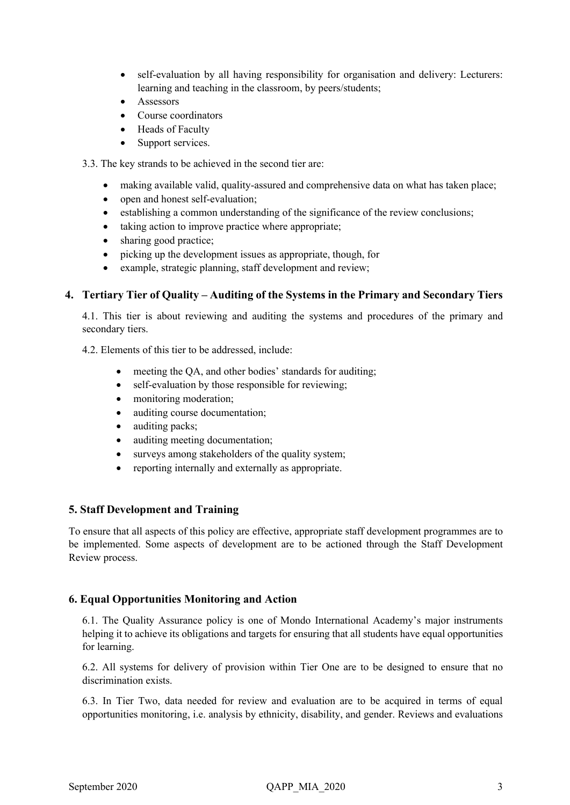- self-evaluation by all having responsibility for organisation and delivery: Lecturers: learning and teaching in the classroom, by peers/students;
- **Assessors**
- Course coordinators
- Heads of Faculty
- Support services.
- 3.3. The key strands to be achieved in the second tier are:
	- making available valid, quality-assured and comprehensive data on what has taken place;
	- open and honest self-evaluation:
	- establishing a common understanding of the significance of the review conclusions;
	- taking action to improve practice where appropriate;
	- sharing good practice;
	- picking up the development issues as appropriate, though, for
	- example, strategic planning, staff development and review;

#### **4. Tertiary Tier of Quality – Auditing of the Systems in the Primary and Secondary Tiers**

4.1. This tier is about reviewing and auditing the systems and procedures of the primary and secondary tiers.

4.2. Elements of this tier to be addressed, include:

- meeting the QA, and other bodies' standards for auditing;
- self-evaluation by those responsible for reviewing;
- monitoring moderation;
- auditing course documentation;
- auditing packs;
- auditing meeting documentation;
- surveys among stakeholders of the quality system;
- reporting internally and externally as appropriate.

#### **5. Staff Development and Training**

To ensure that all aspects of this policy are effective, appropriate staff development programmes are to be implemented. Some aspects of development are to be actioned through the Staff Development Review process.

#### **6. Equal Opportunities Monitoring and Action**

6.1. The Quality Assurance policy is one of Mondo International Academy's major instruments helping it to achieve its obligations and targets for ensuring that all students have equal opportunities for learning.

6.2. All systems for delivery of provision within Tier One are to be designed to ensure that no discrimination exists.

6.3. In Tier Two, data needed for review and evaluation are to be acquired in terms of equal opportunities monitoring, i.e. analysis by ethnicity, disability, and gender. Reviews and evaluations